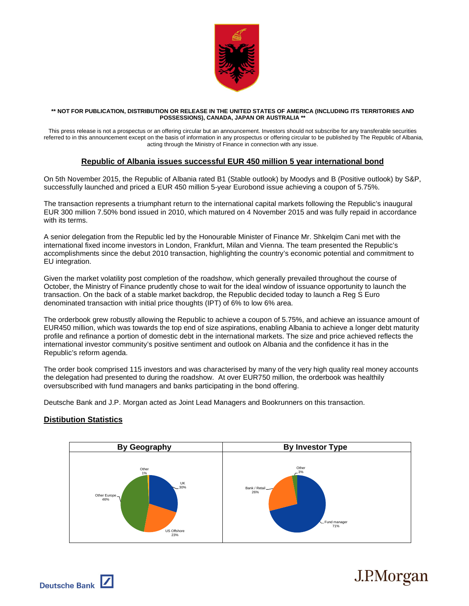

## **\*\* NOT FOR PUBLICATION, DISTRIBUTION OR RELEASE IN THE UNITED STATES OF AMERICA (INCLUDING ITS TERRITORIES AND POSSESSIONS), CANADA, JAPAN OR AUSTRALIA \*\***

This press release is not a prospectus or an offering circular but an announcement. Investors should not subscribe for any transferable securities referred to in this announcement except on the basis of information in any prospectus or offering circular to be published by The Republic of Albania, acting through the Ministry of Finance in connection with any issue.

## **Republic of Albania issues successful EUR 450 million 5 year international bond**

On 5th November 2015, the Republic of Albania rated B1 (Stable outlook) by Moodys and B (Positive outlook) by S&P, successfully launched and priced a EUR 450 million 5-year Eurobond issue achieving a coupon of 5.75%.

The transaction represents a triumphant return to the international capital markets following the Republic's inaugural EUR 300 million 7.50% bond issued in 2010, which matured on 4 November 2015 and was fully repaid in accordance with its terms.

A senior delegation from the Republic led by the Honourable Minister of Finance Mr. Shkelqim Cani met with the international fixed income investors in London, Frankfurt, Milan and Vienna. The team presented the Republic's accomplishments since the debut 2010 transaction, highlighting the country's economic potential and commitment to EU integration.

Given the market volatility post completion of the roadshow, which generally prevailed throughout the course of October, the Ministry of Finance prudently chose to wait for the ideal window of issuance opportunity to launch the transaction. On the back of a stable market backdrop, the Republic decided today to launch a Reg S Euro denominated transaction with initial price thoughts (IPT) of 6% to low 6% area.

The orderbook grew robustly allowing the Republic to achieve a coupon of 5.75%, and achieve an issuance amount of EUR450 million, which was towards the top end of size aspirations, enabling Albania to achieve a longer debt maturity profile and refinance a portion of domestic debt in the international markets. The size and price achieved reflects the international investor community's positive sentiment and outlook on Albania and the confidence it has in the Republic's reform agenda.

The order book comprised 115 investors and was characterised by many of the very high quality real money accounts the delegation had presented to during the roadshow. At over EUR750 million, the orderbook was healthily oversubscribed with fund managers and banks participating in the bond offering.

Deutsche Bank and J.P. Morgan acted as Joint Lead Managers and Bookrunners on this transaction.

## **Distibution Statistics**